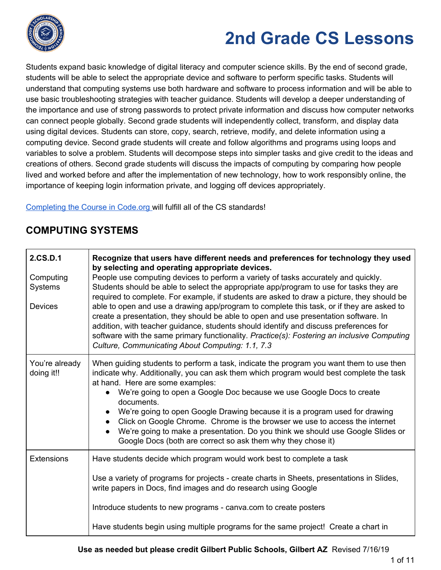

Students expand basic knowledge of digital literacy and computer science skills. By the end of second grade, students will be able to select the appropriate device and software to perform specific tasks. Students will understand that computing systems use both hardware and software to process information and will be able to use basic troubleshooting strategies with teacher guidance. Students will develop a deeper understanding of the importance and use of strong passwords to protect private information and discuss how computer networks can connect people globally. Second grade students will independently collect, transform, and display data using digital devices. Students can store, copy, search, retrieve, modify, and delete information using a computing device. Second grade students will create and follow algorithms and programs using loops and variables to solve a problem. Students will decompose steps into simpler tasks and give credit to the ideas and creations of others. Second grade students will discuss the impacts of computing by comparing how people lived and worked before and after the implementation of new technology, how to work responsibly online, the importance of keeping login information private, and logging off devices appropriately.

[Completing](https://code.org/educate/curriculum/elementary-school) the Course in Code.org will fulfill all of the CS standards!

| 2.CS.D.1<br>Computing<br>Systems<br><b>Devices</b> | Recognize that users have different needs and preferences for technology they used<br>by selecting and operating appropriate devices.<br>People use computing devices to perform a variety of tasks accurately and quickly.<br>Students should be able to select the appropriate app/program to use for tasks they are<br>required to complete. For example, if students are asked to draw a picture, they should be<br>able to open and use a drawing app/program to complete this task, or if they are asked to<br>create a presentation, they should be able to open and use presentation software. In<br>addition, with teacher guidance, students should identify and discuss preferences for<br>software with the same primary functionality. Practice(s): Fostering an inclusive Computing<br>Culture, Communicating About Computing: 1.1, 7.3 |
|----------------------------------------------------|-------------------------------------------------------------------------------------------------------------------------------------------------------------------------------------------------------------------------------------------------------------------------------------------------------------------------------------------------------------------------------------------------------------------------------------------------------------------------------------------------------------------------------------------------------------------------------------------------------------------------------------------------------------------------------------------------------------------------------------------------------------------------------------------------------------------------------------------------------|
| You're already<br>doing it!!                       | When guiding students to perform a task, indicate the program you want them to use then<br>indicate why. Additionally, you can ask them which program would best complete the task<br>at hand. Here are some examples:<br>We're going to open a Google Doc because we use Google Docs to create<br>$\bullet$<br>documents.<br>We're going to open Google Drawing because it is a program used for drawing<br>Click on Google Chrome. Chrome is the browser we use to access the internet<br>We're going to make a presentation. Do you think we should use Google Slides or<br>Google Docs (both are correct so ask them why they chose it)                                                                                                                                                                                                           |
| <b>Extensions</b>                                  | Have students decide which program would work best to complete a task<br>Use a variety of programs for projects - create charts in Sheets, presentations in Slides,<br>write papers in Docs, find images and do research using Google<br>Introduce students to new programs - canva.com to create posters<br>Have students begin using multiple programs for the same project! Create a chart in                                                                                                                                                                                                                                                                                                                                                                                                                                                      |

## **COMPUTING SYSTEMS**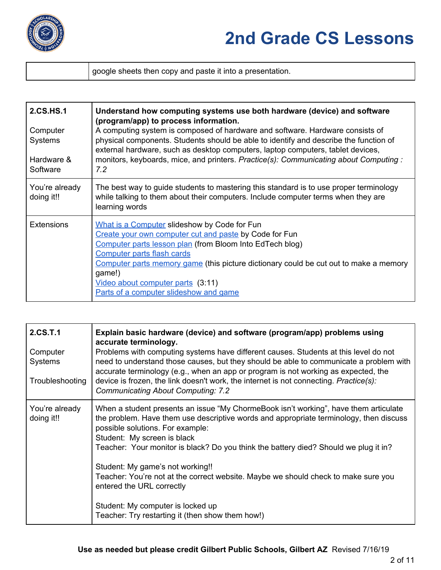

google sheets then copy and paste it into a presentation.

| 2.CS.HS.1<br>Computer<br><b>Systems</b><br>Hardware &<br>Software | Understand how computing systems use both hardware (device) and software<br>(program/app) to process information.<br>A computing system is composed of hardware and software. Hardware consists of<br>physical components. Students should be able to identify and describe the function of<br>external hardware, such as desktop computers, laptop computers, tablet devices,<br>monitors, keyboards, mice, and printers. Practice(s): Communicating about Computing:<br>7.2 |
|-------------------------------------------------------------------|-------------------------------------------------------------------------------------------------------------------------------------------------------------------------------------------------------------------------------------------------------------------------------------------------------------------------------------------------------------------------------------------------------------------------------------------------------------------------------|
| You're already<br>doing it!!                                      | The best way to guide students to mastering this standard is to use proper terminology<br>while talking to them about their computers. Include computer terms when they are<br>learning words                                                                                                                                                                                                                                                                                 |
| <b>Extensions</b>                                                 | What is a Computer slideshow by Code for Fun<br>Create your own computer cut and paste by Code for Fun<br>Computer parts lesson plan (from Bloom Into EdTech blog)<br>Computer parts flash cards<br>Computer parts memory game (this picture dictionary could be cut out to make a memory<br>game!)<br>Video about computer parts (3:11)<br>Parts of a computer slideshow and game                                                                                            |

| 2.CS.T.1<br>Computer<br><b>Systems</b><br>Troubleshooting | Explain basic hardware (device) and software (program/app) problems using<br>accurate terminology.<br>Problems with computing systems have different causes. Students at this level do not<br>need to understand those causes, but they should be able to communicate a problem with<br>accurate terminology (e.g., when an app or program is not working as expected, the<br>device is frozen, the link doesn't work, the internet is not connecting. Practice(s):<br><b>Communicating About Computing: 7.2</b>                                                                          |
|-----------------------------------------------------------|-------------------------------------------------------------------------------------------------------------------------------------------------------------------------------------------------------------------------------------------------------------------------------------------------------------------------------------------------------------------------------------------------------------------------------------------------------------------------------------------------------------------------------------------------------------------------------------------|
| You're already<br>doing it!!                              | When a student presents an issue "My ChormeBook isn't working", have them articulate<br>the problem. Have them use descriptive words and appropriate terminology, then discuss<br>possible solutions. For example:<br>Student: My screen is black<br>Teacher: Your monitor is black? Do you think the battery died? Should we plug it in?<br>Student: My game's not working!!<br>Teacher: You're not at the correct website. Maybe we should check to make sure you<br>entered the URL correctly<br>Student: My computer is locked up<br>Teacher: Try restarting it (then show them how!) |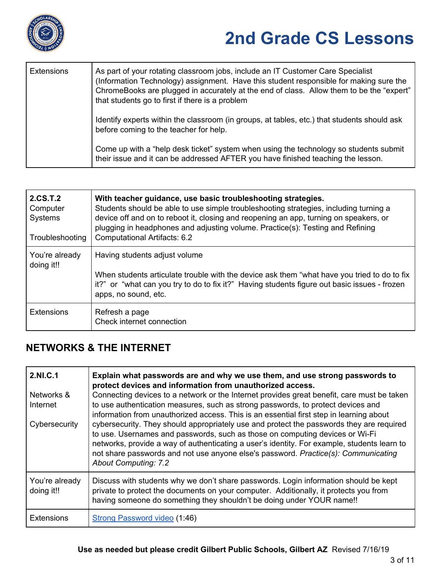

| <b>Extensions</b> | As part of your rotating classroom jobs, include an IT Customer Care Specialist<br>(Information Technology) assignment. Have this student responsible for making sure the<br>ChromeBooks are plugged in accurately at the end of class. Allow them to be the "expert"<br>that students go to first if there is a problem |
|-------------------|--------------------------------------------------------------------------------------------------------------------------------------------------------------------------------------------------------------------------------------------------------------------------------------------------------------------------|
|                   | Identify experts within the classroom (in groups, at tables, etc.) that students should ask<br>before coming to the teacher for help.                                                                                                                                                                                    |
|                   | Come up with a "help desk ticket" system when using the technology so students submit<br>their issue and it can be addressed AFTER you have finished teaching the lesson.                                                                                                                                                |

| 2.CS.T.2<br>Computer<br>Systems<br>Troubleshooting | With teacher guidance, use basic troubleshooting strategies.<br>Students should be able to use simple troubleshooting strategies, including turning a<br>device off and on to reboot it, closing and reopening an app, turning on speakers, or<br>plugging in headphones and adjusting volume. Practice(s): Testing and Refining<br>Computational Artifacts: 6.2 |
|----------------------------------------------------|------------------------------------------------------------------------------------------------------------------------------------------------------------------------------------------------------------------------------------------------------------------------------------------------------------------------------------------------------------------|
| You're already<br>doing it!!                       | Having students adjust volume<br>When students articulate trouble with the device ask them "what have you tried to do to fix<br>it?" or "what can you try to do to fix it?" Having students figure out basic issues - frozen<br>apps, no sound, etc.                                                                                                             |
| <b>Extensions</b>                                  | Refresh a page<br>Check internet connection                                                                                                                                                                                                                                                                                                                      |

### **NETWORKS & THE INTERNET**

| 2.NI.C.1                     | Explain what passwords are and why we use them, and use strong passwords to<br>protect devices and information from unauthorized access.                                                                                                                                                                                                                                                                                                                                                |
|------------------------------|-----------------------------------------------------------------------------------------------------------------------------------------------------------------------------------------------------------------------------------------------------------------------------------------------------------------------------------------------------------------------------------------------------------------------------------------------------------------------------------------|
| Networks &<br>Internet       | Connecting devices to a network or the Internet provides great benefit, care must be taken<br>to use authentication measures, such as strong passwords, to protect devices and                                                                                                                                                                                                                                                                                                          |
| Cybersecurity                | information from unauthorized access. This is an essential first step in learning about<br>cybersecurity. They should appropriately use and protect the passwords they are required<br>to use. Usernames and passwords, such as those on computing devices or Wi-Fi<br>networks, provide a way of authenticating a user's identity. For example, students learn to<br>not share passwords and not use anyone else's password. Practice(s): Communicating<br><b>About Computing: 7.2</b> |
| You're already<br>doing it!! | Discuss with students why we don't share passwords. Login information should be kept<br>private to protect the documents on your computer. Additionally, it protects you from<br>having someone do something they shouldn't be doing under YOUR name!!                                                                                                                                                                                                                                  |
| <b>Extensions</b>            | Strong Password video (1:46)                                                                                                                                                                                                                                                                                                                                                                                                                                                            |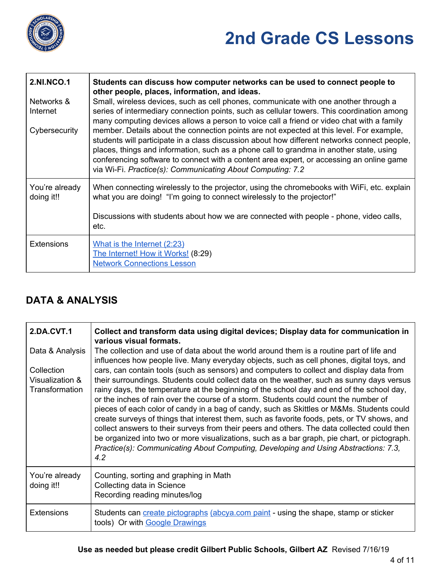

| <b>2.NI.NCO.1</b><br>Networks &<br>Internet<br>Cybersecurity | Students can discuss how computer networks can be used to connect people to<br>other people, places, information, and ideas.<br>Small, wireless devices, such as cell phones, communicate with one another through a<br>series of intermediary connection points, such as cellular towers. This coordination among<br>many computing devices allows a person to voice call a friend or video chat with a family<br>member. Details about the connection points are not expected at this level. For example,<br>students will participate in a class discussion about how different networks connect people,<br>places, things and information, such as a phone call to grandma in another state, using<br>conferencing software to connect with a content area expert, or accessing an online game<br>via Wi-Fi. Practice(s): Communicating About Computing: 7.2 |
|--------------------------------------------------------------|------------------------------------------------------------------------------------------------------------------------------------------------------------------------------------------------------------------------------------------------------------------------------------------------------------------------------------------------------------------------------------------------------------------------------------------------------------------------------------------------------------------------------------------------------------------------------------------------------------------------------------------------------------------------------------------------------------------------------------------------------------------------------------------------------------------------------------------------------------------|
| You're already<br>doing it!!                                 | When connecting wirelessly to the projector, using the chromebooks with WiFi, etc. explain<br>what you are doing! "I'm going to connect wirelessly to the projector!"                                                                                                                                                                                                                                                                                                                                                                                                                                                                                                                                                                                                                                                                                            |
|                                                              | Discussions with students about how we are connected with people - phone, video calls,<br>etc.                                                                                                                                                                                                                                                                                                                                                                                                                                                                                                                                                                                                                                                                                                                                                                   |
| <b>Extensions</b>                                            | What is the Internet (2:23)<br>The Internet! How it Works! (8:29)<br><b>Network Connections Lesson</b>                                                                                                                                                                                                                                                                                                                                                                                                                                                                                                                                                                                                                                                                                                                                                           |

### **DATA & ANALYSIS**

| <b>2.DA.CVT.1</b>                               | Collect and transform data using digital devices; Display data for communication in<br>various visual formats.                                                                                                                                                                                                                                                                                                                                                                                                                                                                                                                                                                                                                                                                                                                                                      |
|-------------------------------------------------|---------------------------------------------------------------------------------------------------------------------------------------------------------------------------------------------------------------------------------------------------------------------------------------------------------------------------------------------------------------------------------------------------------------------------------------------------------------------------------------------------------------------------------------------------------------------------------------------------------------------------------------------------------------------------------------------------------------------------------------------------------------------------------------------------------------------------------------------------------------------|
| Data & Analysis                                 | The collection and use of data about the world around them is a routine part of life and<br>influences how people live. Many everyday objects, such as cell phones, digital toys, and                                                                                                                                                                                                                                                                                                                                                                                                                                                                                                                                                                                                                                                                               |
| Collection<br>Visualization &<br>Transformation | cars, can contain tools (such as sensors) and computers to collect and display data from<br>their surroundings. Students could collect data on the weather, such as sunny days versus<br>rainy days, the temperature at the beginning of the school day and end of the school day,<br>or the inches of rain over the course of a storm. Students could count the number of<br>pieces of each color of candy in a bag of candy, such as Skittles or M&Ms. Students could<br>create surveys of things that interest them, such as favorite foods, pets, or TV shows, and<br>collect answers to their surveys from their peers and others. The data collected could then<br>be organized into two or more visualizations, such as a bar graph, pie chart, or pictograph.<br>Practice(s): Communicating About Computing, Developing and Using Abstractions: 7.3,<br>4.2 |
| You're already<br>doing it!!                    | Counting, sorting and graphing in Math<br>Collecting data in Science<br>Recording reading minutes/log                                                                                                                                                                                                                                                                                                                                                                                                                                                                                                                                                                                                                                                                                                                                                               |
| <b>Extensions</b>                               | Students can create pictographs (abcya.com paint - using the shape, stamp or sticker<br>tools) Or with Google Drawings                                                                                                                                                                                                                                                                                                                                                                                                                                                                                                                                                                                                                                                                                                                                              |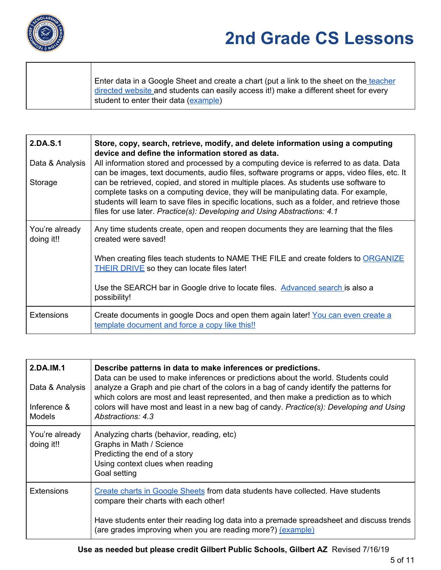

Enter data in a Google Sheet and create a chart (put a link to the sheet on the [teacher](https://sites.google.com/a/gilbertschools.net/teacher-directed-weblinks-for-students/) [directed](https://sites.google.com/a/gilbertschools.net/teacher-directed-weblinks-for-students/) website and students can easily access it!) make a different sheet for every student to enter their data [\(example](https://docs.google.com/spreadsheets/d/1g7fS3sQddP9NqPDaz1-wCv6YA9wf-Hu0YjKsa6h3gUU/edit?usp=sharing))

| 2.DA.S.1<br>Data & Analysis<br>Storage | Store, copy, search, retrieve, modify, and delete information using a computing<br>device and define the information stored as data.<br>All information stored and processed by a computing device is referred to as data. Data<br>can be images, text documents, audio files, software programs or apps, video files, etc. It<br>can be retrieved, copied, and stored in multiple places. As students use software to<br>complete tasks on a computing device, they will be manipulating data. For example,<br>students will learn to save files in specific locations, such as a folder, and retrieve those<br>files for use later. Practice(s): Developing and Using Abstractions: 4.1 |
|----------------------------------------|-------------------------------------------------------------------------------------------------------------------------------------------------------------------------------------------------------------------------------------------------------------------------------------------------------------------------------------------------------------------------------------------------------------------------------------------------------------------------------------------------------------------------------------------------------------------------------------------------------------------------------------------------------------------------------------------|
| You're already<br>doing it!!           | Any time students create, open and reopen documents they are learning that the files<br>created were saved!                                                                                                                                                                                                                                                                                                                                                                                                                                                                                                                                                                               |
|                                        | When creating files teach students to NAME THE FILE and create folders to ORGANIZE<br><b>THEIR DRIVE</b> so they can locate files later!                                                                                                                                                                                                                                                                                                                                                                                                                                                                                                                                                  |
|                                        | Use the SEARCH bar in Google drive to locate files. Advanced search is also a<br>possibility!                                                                                                                                                                                                                                                                                                                                                                                                                                                                                                                                                                                             |
| <b>Extensions</b>                      | Create documents in google Docs and open them again later! You can even create a<br>template document and force a copy like this!!                                                                                                                                                                                                                                                                                                                                                                                                                                                                                                                                                        |

| 2.DA.IM.1<br>Data & Analysis<br>Inference &<br><b>Models</b> | Describe patterns in data to make inferences or predictions.<br>Data can be used to make inferences or predictions about the world. Students could<br>analyze a Graph and pie chart of the colors in a bag of candy identify the patterns for<br>which colors are most and least represented, and then make a prediction as to which<br>colors will have most and least in a new bag of candy. Practice(s): Developing and Using<br>Abstractions: 4.3 |
|--------------------------------------------------------------|-------------------------------------------------------------------------------------------------------------------------------------------------------------------------------------------------------------------------------------------------------------------------------------------------------------------------------------------------------------------------------------------------------------------------------------------------------|
| You're already<br>doing it!!                                 | Analyzing charts (behavior, reading, etc)<br>Graphs in Math / Science<br>Predicting the end of a story<br>Using context clues when reading<br>Goal setting                                                                                                                                                                                                                                                                                            |
| <b>Extensions</b>                                            | Create charts in Google Sheets from data students have collected. Have students<br>compare their charts with each other!                                                                                                                                                                                                                                                                                                                              |
|                                                              | Have students enter their reading log data into a premade spreadsheet and discuss trends<br>(are grades improving when you are reading more?) (example)                                                                                                                                                                                                                                                                                               |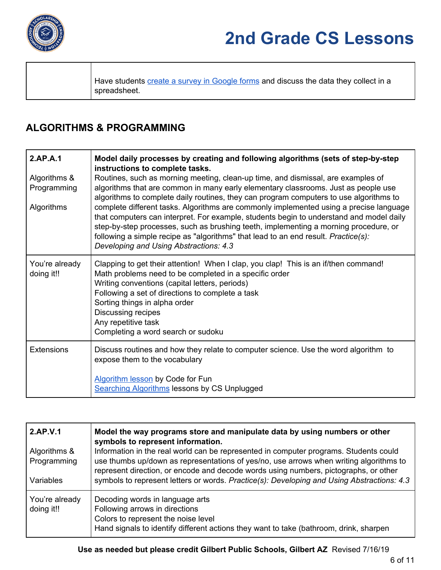

Have students create a survey in [Google](https://youtu.be/pKfEcliS0WY) forms and discuss the data they collect in a spreadsheet.

#### **ALGORITHMS & PROGRAMMING**

| 2.AP.A.1<br>Algorithms &<br>Programming<br>Algorithms | Model daily processes by creating and following algorithms (sets of step-by-step<br>instructions to complete tasks.<br>Routines, such as morning meeting, clean-up time, and dismissal, are examples of<br>algorithms that are common in many early elementary classrooms. Just as people use<br>algorithms to complete daily routines, they can program computers to use algorithms to<br>complete different tasks. Algorithms are commonly implemented using a precise language<br>that computers can interpret. For example, students begin to understand and model daily<br>step-by-step processes, such as brushing teeth, implementing a morning procedure, or<br>following a simple recipe as "algorithms" that lead to an end result. Practice(s):<br>Developing and Using Abstractions: 4.3 |
|-------------------------------------------------------|------------------------------------------------------------------------------------------------------------------------------------------------------------------------------------------------------------------------------------------------------------------------------------------------------------------------------------------------------------------------------------------------------------------------------------------------------------------------------------------------------------------------------------------------------------------------------------------------------------------------------------------------------------------------------------------------------------------------------------------------------------------------------------------------------|
| You're already<br>doing it!!                          | Clapping to get their attention! When I clap, you clap! This is an if/then command!<br>Math problems need to be completed in a specific order<br>Writing conventions (capital letters, periods)<br>Following a set of directions to complete a task<br>Sorting things in alpha order<br>Discussing recipes<br>Any repetitive task<br>Completing a word search or sudoku                                                                                                                                                                                                                                                                                                                                                                                                                              |
| <b>Extensions</b>                                     | Discuss routines and how they relate to computer science. Use the word algorithm to<br>expose them to the vocabulary<br>Algorithm lesson by Code for Fun<br><b>Searching Algorithms lessons by CS Unplugged</b>                                                                                                                                                                                                                                                                                                                                                                                                                                                                                                                                                                                      |

| 2.AP.V.1                     | Model the way programs store and manipulate data by using numbers or other<br>symbols to represent information.                                                                                    |
|------------------------------|----------------------------------------------------------------------------------------------------------------------------------------------------------------------------------------------------|
| Algorithms &                 | Information in the real world can be represented in computer programs. Students could                                                                                                              |
| Programming                  | use thumbs up/down as representations of yes/no, use arrows when writing algorithms to<br>represent direction, or encode and decode words using numbers, pictographs, or other                     |
| <b>Variables</b>             | symbols to represent letters or words. Practice(s): Developing and Using Abstractions: 4.3                                                                                                         |
| You're already<br>doing it!! | Decoding words in language arts<br>Following arrows in directions<br>Colors to represent the noise level<br>Hand signals to identify different actions they want to take (bathroom, drink, sharpen |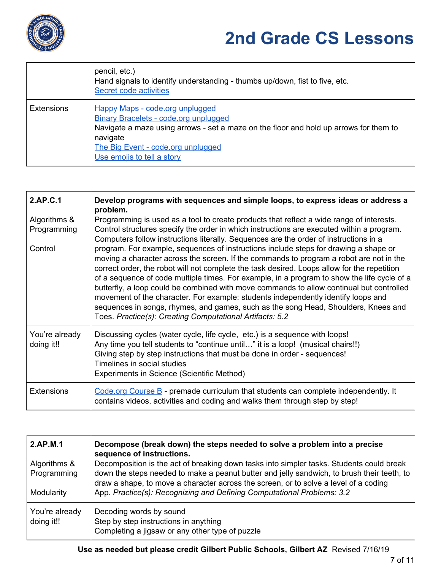

|                   | pencil, etc.)<br>Hand signals to identify understanding - thumbs up/down, fist to five, etc.<br>Secret code activities                                                                                                                                   |
|-------------------|----------------------------------------------------------------------------------------------------------------------------------------------------------------------------------------------------------------------------------------------------------|
| <b>Extensions</b> | <b>Happy Maps - code.org unplugged</b><br>Binary Bracelets - code.org unplugged<br>Navigate a maze using arrows - set a maze on the floor and hold up arrows for them to<br>navigate<br>The Big Event - code.org unplugged<br>Use emojis to tell a story |

| 2.AP.C.1                               | Develop programs with sequences and simple loops, to express ideas or address a<br>problem.                                                                                                                                                                                                                                                                                                                                                                                                                                                                                                                                                                                                                                                                                                                                                                                                                                                                                                        |
|----------------------------------------|----------------------------------------------------------------------------------------------------------------------------------------------------------------------------------------------------------------------------------------------------------------------------------------------------------------------------------------------------------------------------------------------------------------------------------------------------------------------------------------------------------------------------------------------------------------------------------------------------------------------------------------------------------------------------------------------------------------------------------------------------------------------------------------------------------------------------------------------------------------------------------------------------------------------------------------------------------------------------------------------------|
| Algorithms &<br>Programming<br>Control | Programming is used as a tool to create products that reflect a wide range of interests.<br>Control structures specify the order in which instructions are executed within a program.<br>Computers follow instructions literally. Sequences are the order of instructions in a<br>program. For example, sequences of instructions include steps for drawing a shape or<br>moving a character across the screen. If the commands to program a robot are not in the<br>correct order, the robot will not complete the task desired. Loops allow for the repetition<br>of a sequence of code multiple times. For example, in a program to show the life cycle of a<br>butterfly, a loop could be combined with move commands to allow continual but controlled<br>movement of the character. For example: students independently identify loops and<br>sequences in songs, rhymes, and games, such as the song Head, Shoulders, Knees and<br>Toes. Practice(s): Creating Computational Artifacts: 5.2 |
| You're already<br>doing it!!           | Discussing cycles (water cycle, life cycle, etc.) is a sequence with loops!<br>Any time you tell students to "continue until" it is a loop! (musical chairs!!)<br>Giving step by step instructions that must be done in order - sequences!<br>Timelines in social studies<br>Experiments in Science (Scientific Method)                                                                                                                                                                                                                                                                                                                                                                                                                                                                                                                                                                                                                                                                            |
| <b>Extensions</b>                      | Code.org Course $B$ - premade curriculum that students can complete independently. It<br>contains videos, activities and coding and walks them through step by step!                                                                                                                                                                                                                                                                                                                                                                                                                                                                                                                                                                                                                                                                                                                                                                                                                               |

| 2.AP.M.1<br>Algorithms &<br>Programming<br>Modularity | Decompose (break down) the steps needed to solve a problem into a precise<br>sequence of instructions.<br>Decomposition is the act of breaking down tasks into simpler tasks. Students could break<br>down the steps needed to make a peanut butter and jelly sandwich, to brush their teeth, to<br>draw a shape, to move a character across the screen, or to solve a level of a coding<br>App. Practice(s): Recognizing and Defining Computational Problems: 3.2 |
|-------------------------------------------------------|--------------------------------------------------------------------------------------------------------------------------------------------------------------------------------------------------------------------------------------------------------------------------------------------------------------------------------------------------------------------------------------------------------------------------------------------------------------------|
| You're already<br>doing it!!                          | Decoding words by sound<br>Step by step instructions in anything<br>Completing a jigsaw or any other type of puzzle                                                                                                                                                                                                                                                                                                                                                |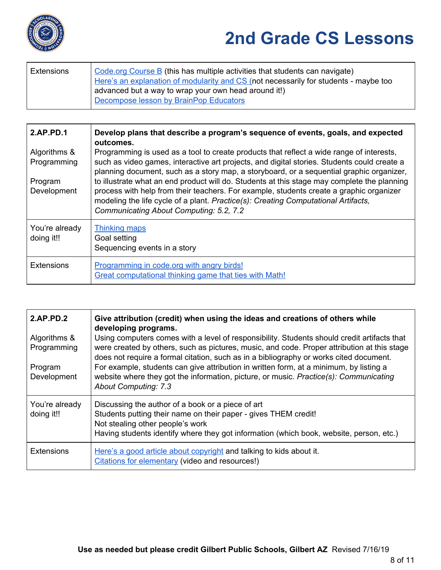

| Code org Course B (this has multiple activities that students can navigate)<br>Extensions |  |
|-------------------------------------------------------------------------------------------|--|
| Here's an explanation of modularity and CS (not necessarily for students - maybe too      |  |
| advanced but a way to wrap your own head around it!)                                      |  |
| Decompose lesson by BrainPop Educators                                                    |  |

| 2.AP.PD.1                    | Develop plans that describe a program's sequence of events, goals, and expected<br>outcomes.                                                                                                                                                                                                                            |
|------------------------------|-------------------------------------------------------------------------------------------------------------------------------------------------------------------------------------------------------------------------------------------------------------------------------------------------------------------------|
| Algorithms &<br>Programming  | Programming is used as a tool to create products that reflect a wide range of interests,<br>such as video games, interactive art projects, and digital stories. Students could create a<br>planning document, such as a story map, a storyboard, or a sequential graphic organizer,                                     |
| Program<br>Development       | to illustrate what an end product will do. Students at this stage may complete the planning<br>process with help from their teachers. For example, students create a graphic organizer<br>modeling the life cycle of a plant. Practice(s): Creating Computational Artifacts,<br>Communicating About Computing: 5.2, 7.2 |
| You're already<br>doing it!! | <b>Thinking maps</b><br>Goal setting<br>Sequencing events in a story                                                                                                                                                                                                                                                    |
| <b>Extensions</b>            | Programming in code.org with angry birds!<br>Great computational thinking game that ties with Math!                                                                                                                                                                                                                     |

| 2.AP.PD.2                    | Give attribution (credit) when using the ideas and creations of others while<br>developing programs.                                                                                                                                                                                 |
|------------------------------|--------------------------------------------------------------------------------------------------------------------------------------------------------------------------------------------------------------------------------------------------------------------------------------|
| Algorithms &<br>Programming  | Using computers comes with a level of responsibility. Students should credit artifacts that<br>were created by others, such as pictures, music, and code. Proper attribution at this stage<br>does not require a formal citation, such as in a bibliography or works cited document. |
| Program<br>Development       | For example, students can give attribution in written form, at a minimum, by listing a<br>website where they got the information, picture, or music. Practice(s): Communicating<br><b>About Computing: 7.3</b>                                                                       |
| You're already<br>doing it!! | Discussing the author of a book or a piece of art<br>Students putting their name on their paper - gives THEM credit!<br>Not stealing other people's work<br>Having students identify where they got information (which book, website, person, etc.)                                  |
| <b>Extensions</b>            | Here's a good article about copyright and talking to kids about it.<br>Citations for elementary (video and resources!)                                                                                                                                                               |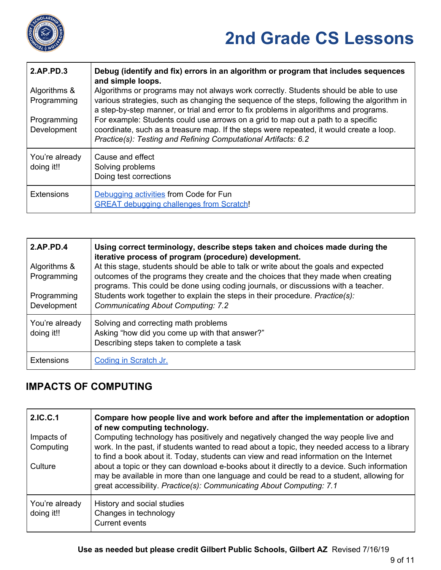

| 2.AP.PD.3                    | Debug (identify and fix) errors in an algorithm or program that includes sequences<br>and simple loops.                                                                                                                                                                     |
|------------------------------|-----------------------------------------------------------------------------------------------------------------------------------------------------------------------------------------------------------------------------------------------------------------------------|
| Algorithms &<br>Programming  | Algorithms or programs may not always work correctly. Students should be able to use<br>various strategies, such as changing the sequence of the steps, following the algorithm in<br>a step-by-step manner, or trial and error to fix problems in algorithms and programs. |
| Programming<br>Development   | For example: Students could use arrows on a grid to map out a path to a specific<br>coordinate, such as a treasure map. If the steps were repeated, it would create a loop.<br>Practice(s): Testing and Refining Computational Artifacts: 6.2                               |
| You're already<br>doing it!! | Cause and effect<br>Solving problems<br>Doing test corrections                                                                                                                                                                                                              |
| <b>Extensions</b>            | Debugging activities from Code for Fun<br><b>GREAT debugging challenges from Scratch!</b>                                                                                                                                                                                   |

| 2.AP.PD.4<br>Algorithms &<br>Programming<br>Programming<br>Development | Using correct terminology, describe steps taken and choices made during the<br>iterative process of program (procedure) development.<br>At this stage, students should be able to talk or write about the goals and expected<br>outcomes of the programs they create and the choices that they made when creating<br>programs. This could be done using coding journals, or discussions with a teacher.<br>Students work together to explain the steps in their procedure. Practice(s):<br><b>Communicating About Computing: 7.2</b> |
|------------------------------------------------------------------------|--------------------------------------------------------------------------------------------------------------------------------------------------------------------------------------------------------------------------------------------------------------------------------------------------------------------------------------------------------------------------------------------------------------------------------------------------------------------------------------------------------------------------------------|
| You're already<br>doing it!!                                           | Solving and correcting math problems<br>Asking "how did you come up with that answer?"<br>Describing steps taken to complete a task                                                                                                                                                                                                                                                                                                                                                                                                  |
| <b>Extensions</b>                                                      | Coding in Scratch Jr.                                                                                                                                                                                                                                                                                                                                                                                                                                                                                                                |

#### **IMPACTS OF COMPUTING**

| 2.IC.C.1                     | Compare how people live and work before and after the implementation or adoption<br>of new computing technology.                                                                                                                                              |
|------------------------------|---------------------------------------------------------------------------------------------------------------------------------------------------------------------------------------------------------------------------------------------------------------|
| Impacts of                   | Computing technology has positively and negatively changed the way people live and                                                                                                                                                                            |
| Computing                    | work. In the past, if students wanted to read about a topic, they needed access to a library<br>to find a book about it. Today, students can view and read information on the Internet                                                                        |
| Culture                      | about a topic or they can download e-books about it directly to a device. Such information<br>may be available in more than one language and could be read to a student, allowing for<br>great accessibility. Practice(s): Communicating About Computing: 7.1 |
| You're already<br>doing it!! | History and social studies<br>Changes in technology<br>Current events                                                                                                                                                                                         |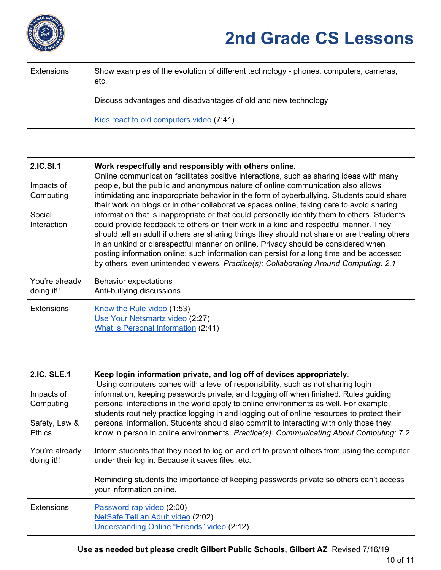

| <b>Extensions</b> | Show examples of the evolution of different technology - phones, computers, cameras,<br>etc. |
|-------------------|----------------------------------------------------------------------------------------------|
|                   | Discuss advantages and disadvantages of old and new technology                               |
|                   | Kids react to old computers video (7:41)                                                     |

| 2.IC.SI.1<br>Impacts of<br>Computing<br>Social<br>Interaction | Work respectfully and responsibly with others online.<br>Online communication facilitates positive interactions, such as sharing ideas with many<br>people, but the public and anonymous nature of online communication also allows<br>intimidating and inappropriate behavior in the form of cyberbullying. Students could share<br>their work on blogs or in other collaborative spaces online, taking care to avoid sharing<br>information that is inappropriate or that could personally identify them to others. Students<br>could provide feedback to others on their work in a kind and respectful manner. They<br>should tell an adult if others are sharing things they should not share or are treating others<br>in an unkind or disrespectful manner on online. Privacy should be considered when<br>posting information online: such information can persist for a long time and be accessed<br>by others, even unintended viewers. Practice(s): Collaborating Around Computing: 2.1 |
|---------------------------------------------------------------|---------------------------------------------------------------------------------------------------------------------------------------------------------------------------------------------------------------------------------------------------------------------------------------------------------------------------------------------------------------------------------------------------------------------------------------------------------------------------------------------------------------------------------------------------------------------------------------------------------------------------------------------------------------------------------------------------------------------------------------------------------------------------------------------------------------------------------------------------------------------------------------------------------------------------------------------------------------------------------------------------|
| You're already<br>doing it!!                                  | <b>Behavior expectations</b><br>Anti-bullying discussions                                                                                                                                                                                                                                                                                                                                                                                                                                                                                                                                                                                                                                                                                                                                                                                                                                                                                                                                         |
| <b>Extensions</b>                                             | Know the Rule video (1:53)<br>Use Your Netsmartz video (2:27)<br><b>What is Personal Information (2:41)</b>                                                                                                                                                                                                                                                                                                                                                                                                                                                                                                                                                                                                                                                                                                                                                                                                                                                                                       |

| <b>2.IC. SLE.1</b><br>Impacts of<br>Computing<br>Safety, Law &<br><b>Ethics</b> | Keep login information private, and log off of devices appropriately.<br>Using computers comes with a level of responsibility, such as not sharing login<br>information, keeping passwords private, and logging off when finished. Rules guiding<br>personal interactions in the world apply to online environments as well. For example,<br>students routinely practice logging in and logging out of online resources to protect their<br>personal information. Students should also commit to interacting with only those they<br>know in person in online environments. Practice(s): Communicating About Computing: 7.2 |
|---------------------------------------------------------------------------------|-----------------------------------------------------------------------------------------------------------------------------------------------------------------------------------------------------------------------------------------------------------------------------------------------------------------------------------------------------------------------------------------------------------------------------------------------------------------------------------------------------------------------------------------------------------------------------------------------------------------------------|
| You're already<br>doing it!!                                                    | Inform students that they need to log on and off to prevent others from using the computer<br>under their log in. Because it saves files, etc.                                                                                                                                                                                                                                                                                                                                                                                                                                                                              |
|                                                                                 | Reminding students the importance of keeping passwords private so others can't access<br>your information online.                                                                                                                                                                                                                                                                                                                                                                                                                                                                                                           |
| <b>Extensions</b>                                                               | Password rap video (2:00)<br>NetSafe Tell an Adult video (2:02)<br>Understanding Online "Friends" video (2:12)                                                                                                                                                                                                                                                                                                                                                                                                                                                                                                              |